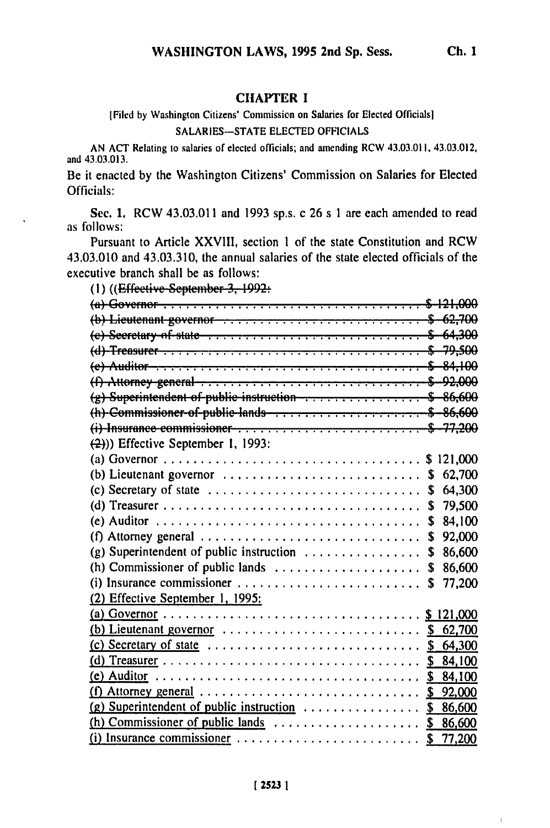[Filed **by** Washington Citizens' Commission on Salaries for Elected Officials]

**SALARIES-STATE ELECTED OFFICIALS** 

**AN ACT** Relating to salaries of elected officials; and amending RCW 43.03.011, 43.03.012, and 43.03.013.

Be it enacted **by** the Washington Citizens' Commission on Salaries for Elected Officials:

**Sec. 1.** RCW 43.03.011 and **1993** sp.s. c **26** s **I** are each amended to read as follows:

Pursuant to Article **XXVIII,** section **1** of the state Constitution and RCW 43.03.010 and 43.03.310, the annual salaries of the state elected officials of the executive branch shall be as follows:

**(I)** ((Effcc;ti'c Sc.p.tiber **3, 1992:**

| $(b)$ Lieutenant governor $\dots \dots \dots \dots \dots \dots \dots \dots$ \$ 62,700                                                                                                                                                                                                                                           |    |        |
|---------------------------------------------------------------------------------------------------------------------------------------------------------------------------------------------------------------------------------------------------------------------------------------------------------------------------------|----|--------|
| $(e)$ -Secretary-of-state- $\ldots$ , $\ldots$ , $\ldots$ , $\ldots$ , $\ldots$ , $\ldots$ , $\quad$ 64,300                                                                                                                                                                                                                     |    |        |
|                                                                                                                                                                                                                                                                                                                                 |    |        |
|                                                                                                                                                                                                                                                                                                                                 |    |        |
| $(f)$ Attorney general $\dots \dots \dots \dots \dots \dots \dots \dots \dots \dots \dots \$                                                                                                                                                                                                                                    |    |        |
| $(g)$ Superintendent of public instruction $\cdots$ $\cdots$ $\cdots$ $\cdots$ $\cdots$ \$ 86,600                                                                                                                                                                                                                               |    |        |
|                                                                                                                                                                                                                                                                                                                                 |    |        |
|                                                                                                                                                                                                                                                                                                                                 |    |        |
| $(2)$ )) Effective September 1, 1993:                                                                                                                                                                                                                                                                                           |    |        |
|                                                                                                                                                                                                                                                                                                                                 |    |        |
| (b) Lieutenant governor $\dots \dots \dots \dots \dots \dots \dots \dots$                                                                                                                                                                                                                                                       |    | 62,700 |
| (c) Secretary of state $\dots \dots \dots \dots \dots \dots \dots \dots \dots \dots$ \$                                                                                                                                                                                                                                         |    | 64,300 |
|                                                                                                                                                                                                                                                                                                                                 | \$ | 79,500 |
|                                                                                                                                                                                                                                                                                                                                 | S  | 84,100 |
| (f) Attorney general $\ldots \ldots \ldots \ldots \ldots \ldots \ldots \ldots \ldots \ldots$                                                                                                                                                                                                                                    | S  | 92,000 |
| (g) Superintendent of public instruction $\ldots \ldots \ldots \ldots \ldots$                                                                                                                                                                                                                                                   | \$ | 86,600 |
| (h) Commissioner of public lands $\dots \dots \dots \dots \dots \dots$                                                                                                                                                                                                                                                          | S. | 86,600 |
|                                                                                                                                                                                                                                                                                                                                 | S  | 77,200 |
| (2) Effective September 1, 1995:                                                                                                                                                                                                                                                                                                |    |        |
|                                                                                                                                                                                                                                                                                                                                 |    |        |
| (b) Lieutenant governor $\ldots \ldots \ldots \ldots \ldots \ldots \ldots \ldots$ \$ 62,700                                                                                                                                                                                                                                     |    |        |
| (c) Secretary of state $\ldots \ldots \ldots \ldots \ldots \ldots \ldots \ldots \ldots$ \$ 64,300                                                                                                                                                                                                                               |    |        |
|                                                                                                                                                                                                                                                                                                                                 |    |        |
|                                                                                                                                                                                                                                                                                                                                 |    |        |
| $(f)$ Attorney general $\cdots$ $\cdots$ $\cdots$ $\cdots$ $\cdots$ $\cdots$ $\cdots$ $\cdots$ $\cdots$ $\cdots$ $\cdots$ $\cdots$ $\cdots$ $\cdots$ $\cdots$ $\cdots$ $\cdots$ $\cdots$ $\cdots$ $\cdots$ $\cdots$ $\cdots$ $\cdots$ $\cdots$ $\cdots$ $\cdots$ $\cdots$ $\cdots$ $\cdots$ $\cdots$ $\cdots$ $\cdots$ $\cdots$ |    |        |
| (g) Superintendent of public instruction $\ldots \ldots \ldots \ldots$ \$ 86,600                                                                                                                                                                                                                                                |    |        |
|                                                                                                                                                                                                                                                                                                                                 |    |        |
| $(i)$ Insurance commissioner $\ldots \ldots \ldots \ldots \ldots \ldots$ \$ 77,200                                                                                                                                                                                                                                              |    |        |

 $\mathbf{I}$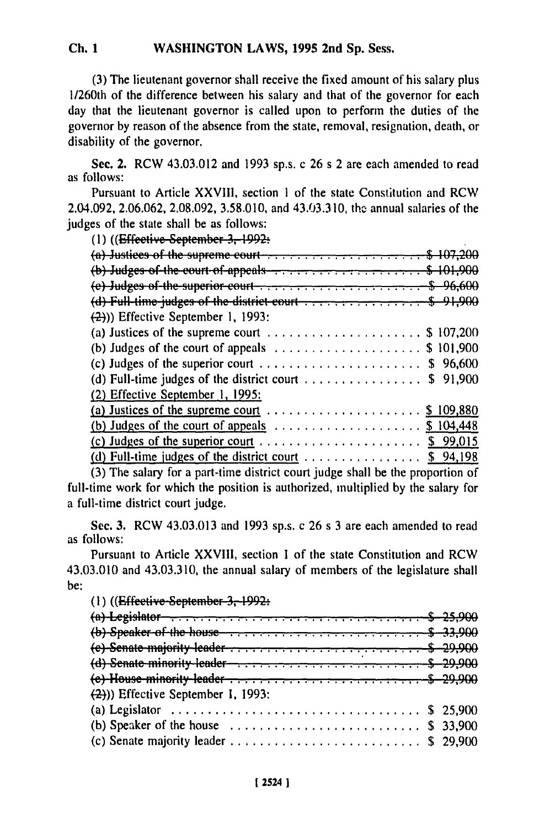## **Ch. 1 WASHINGTON LAWS, 1995 2nd Sp. Sess.**

**(3)** The lieutenant governor shall receive the fixed amount of his salary plus 1/260th of the difference between his salary and that of the governor for each day that the lieutenant governor is called upon to perform the duties of the governor **by** reason of the absence from the state, removal, resignation, death, or disability of the governor.

Sec. 2. RCW 43.03.012 and **1993** sp.s. c 26 s 2 are each amended to read as follows:

Pursuant to Article **XXVIII,** section **1** of the state Constitution and RCW 2.04.092, **2.06.062, 2.08.092, 3.58.010,** and 43.03.310, tho annual salaries of the judges of the state shall be as follows:

**(1)** ((*Effective September 3, 1992*:

| (a) Justices of the supreme court $\ldots$ \$ 107,200                                                           |  |
|-----------------------------------------------------------------------------------------------------------------|--|
| $(b)$ Judges of the court of appeals $\cdots$ , $\cdots$ , $\cdots$ , $\cdots$ , $\cdots$ , $\cdots$ , $\cdots$ |  |
|                                                                                                                 |  |
| (d) Full-time-judges of the district court $\ldots$ , $\ldots$ , $\ldots$ , $\ldots$ , $\sim$ 91,900            |  |
| $(2)$ )) Effective September 1, 1993:                                                                           |  |
| (a) Justices of the supreme court $\dots \dots \dots \dots \dots \dots \dots$ \$ 107,200                        |  |
| (b) Judges of the court of appeals $\ldots \ldots \ldots \ldots \ldots$ \$ 101,900                              |  |
| (c) Judges of the superior court $\ldots \ldots \ldots \ldots \ldots \ldots$ \$ 96,600                          |  |
| (d) Full-time judges of the district court $\dots \dots \dots \dots$ \$ 91,900                                  |  |
| (2) Effective September 1, 1995:                                                                                |  |
|                                                                                                                 |  |
|                                                                                                                 |  |
|                                                                                                                 |  |
| (d) Full-time judges of the district court $\ldots \ldots \ldots \ldots$ \$ 94,198                              |  |
|                                                                                                                 |  |

(3) The salary for a part-time district court judge shall be the proportion of full-time work for which the position is authorized, multiplied by the salary for a full-time district court judge.

Sec. 3. RCW 43.03.013 and 1993 sp.s. c 26 s 3 are each amended to read as follows:

Pursuant to Article XXVIII, section 1 of the state Constitution and RCW 43.03.010 and 43.03.310, the annual salary of members of the legislature shall be:

(1) ((<del>Effective September 3, 1992:</del>

| (d) Senate minority leader $\dots \dots \dots \dots \dots \dots \dots \dots \dots$ \$ 29,900 |  |
|----------------------------------------------------------------------------------------------|--|
|                                                                                              |  |
| $(2)$ )) Effective September I, 1993:                                                        |  |
|                                                                                              |  |
| (b) Speaker of the house $\dots \dots \dots \dots \dots \dots \dots \dots$ \$ 33,900         |  |
|                                                                                              |  |